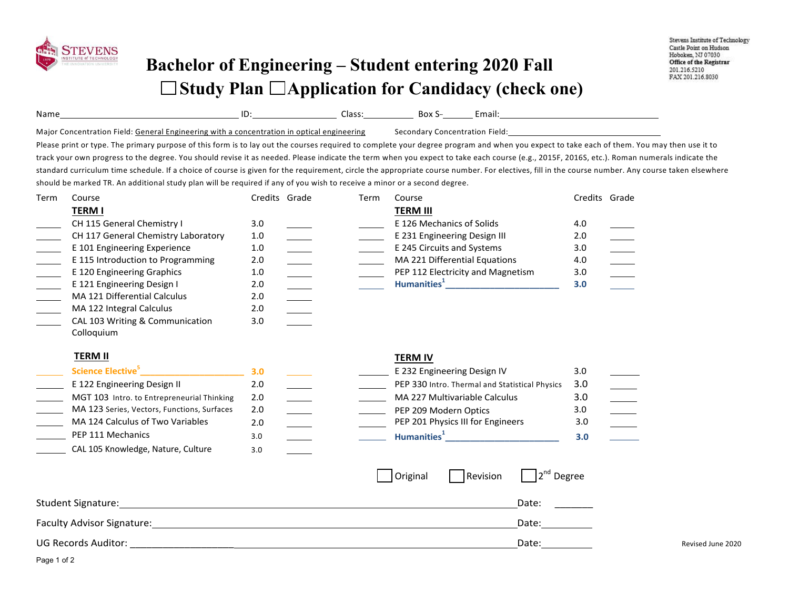

## **Bachelor of Engineering – Student entering 2020 Fall Study Plan Application for Candidacy (check one)**

| Name                                                                                       | ID | Jlass | Box S                          | Email: |
|--------------------------------------------------------------------------------------------|----|-------|--------------------------------|--------|
| Major Concentration Field: General Engineering with a concentration in optical engineering |    |       | Secondary Concentration Field: |        |

Please print or type. The primary purpose of this form is to lay out the courses required to complete your degree program and when you expect to take each of them. You may then use it to track your own progress to the degree. You should revise it as needed. Please indicate the term when you expect to take each course (e.g., 2015F, 2016S, etc.). Roman numerals indicate the standard curriculum time schedule. If a choice of course is given for the requirement, circle the appropriate course number. For electives, fill in the course number. Any course taken elsewhere

should be marked TR. An additional study plan will be required if any of you wish to receive a minor or a second degree.

| Term | Course                              | Credits Grade | Term | Course                            | Credits Grade |  |
|------|-------------------------------------|---------------|------|-----------------------------------|---------------|--|
|      | TERM I                              |               |      | <b>TERM III</b>                   |               |  |
|      | CH 115 General Chemistry I          | 3.0           |      | E 126 Mechanics of Solids         | 4.0           |  |
|      | CH 117 General Chemistry Laboratory | 1.0           |      | E 231 Engineering Design III      | 2.0           |  |
|      | E 101 Engineering Experience        | 1.0           |      | E 245 Circuits and Systems        | 3.0           |  |
|      | E 115 Introduction to Programming   | 2.0           |      | MA 221 Differential Equations     | 4.0           |  |
|      | E 120 Engineering Graphics          | 1.0           |      | PEP 112 Electricity and Magnetism | 3.0           |  |
|      | E 121 Engineering Design I          | 2.0           |      | Humanities <sup>+</sup>           | 3.0           |  |
|      | MA 121 Differential Calculus        | 2.0           |      |                                   |               |  |
|      | MA 122 Integral Calculus            | 2.0           |      |                                   |               |  |
|      | CAL 103 Writing & Communication     | 3.0           |      |                                   |               |  |

## **TERM II**

Colloquium

| Science Elective <sup>5</sup>               |     |  | E 232 Engineering Design IV                    | 3.0 |  |
|---------------------------------------------|-----|--|------------------------------------------------|-----|--|
| E 122 Engineering Design II                 | 2.0 |  | PEP 330 Intro. Thermal and Statistical Physics | 3.0 |  |
| MGT 103 Intro. to Entrepreneurial Thinking  | 2.0 |  | MA 227 Multivariable Calculus                  | 3.0 |  |
| MA 123 Series, Vectors, Functions, Surfaces | 2.0 |  | PEP 209 Modern Optics                          | 3.0 |  |
| MA 124 Calculus of Two Variables            | 2.0 |  | PEP 201 Physics III for Engineers              | 3.0 |  |
| PEP 111 Mechanics                           | 3.0 |  | Humanities <sup>+</sup>                        | 3.0 |  |
| CAL 105 Knowledge, Nature, Culture          | 3.0 |  |                                                |     |  |

**TERM IV**

|                            | Original | Revision | $72nd$ Degree |
|----------------------------|----------|----------|---------------|
| Student Signature:         |          |          | Date:         |
| Faculty Advisor Signature: |          |          | Date:         |
| <b>UG Records Auditor:</b> |          |          | Date:         |

Revised June 2020

Page 1 of 2